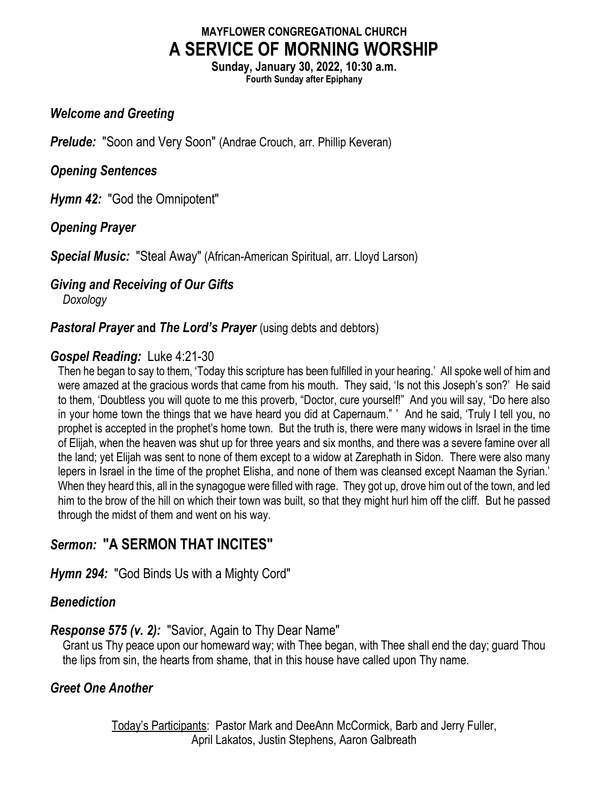## MAYFLOWER CONGREGATIONAL CHURCH A SERVICE OF MORNING WORSHIP

Sunday, January 30, 2022, 10:30 a.m. Fourth Sunday after Epiphany

#### Welcome and Greeting

**Prelude:** "Soon and Very Soon" (Andrae Crouch, arr. Phillip Keveran)

#### Opening Sentences

Hymn 42: "God the Omnipotent"

## Opening Prayer

Special Music: "Steal Away" (African-American Spiritual, arr. Lloyd Larson)

# Giving and Receiving of Our Gifts

Doxology

#### **Pastoral Prayer and The Lord's Prayer** (using debts and debtors)

## Gospel Reading: Luke 4:21-30

Then he began to say to them, 'Today this scripture has been fulfilled in your hearing.' All spoke well of him and were amazed at the gracious words that came from his mouth. They said, 'Is not this Joseph's son?' He said to them, 'Doubtless you will quote to me this proverb, "Doctor, cure yourself!" And you will say, "Do here also in your home town the things that we have heard you did at Capernaum." ' And he said, 'Truly I tell you, no prophet is accepted in the prophet's home town. But the truth is, there were many widows in Israel in the time of Elijah, when the heaven was shut up for three years and six months, and there was a severe famine over all the land; yet Elijah was sent to none of them except to a widow at Zarephath in Sidon. There were also many lepers in Israel in the time of the prophet Elisha, and none of them was cleansed except Naaman the Syrian.' When they heard this, all in the synagogue were filled with rage. They got up, drove him out of the town, and led him to the brow of the hill on which their town was built, so that they might hurl him off the cliff. But he passed through the midst of them and went on his way.

## Sermon: "A SERMON THAT INCITES"

## Hymn 294: "God Binds Us with a Mighty Cord"

## **Benediction**

## Response 575 (v. 2): "Savior, Again to Thy Dear Name"

Grant us Thy peace upon our homeward way; with Thee began, with Thee shall end the day; guard Thou the lips from sin, the hearts from shame, that in this house have called upon Thy name.

## Greet One Another

Today's Participants: Pastor Mark and DeeAnn McCormick, Barb and Jerry Fuller, April Lakatos, Justin Stephens, Aaron Galbreath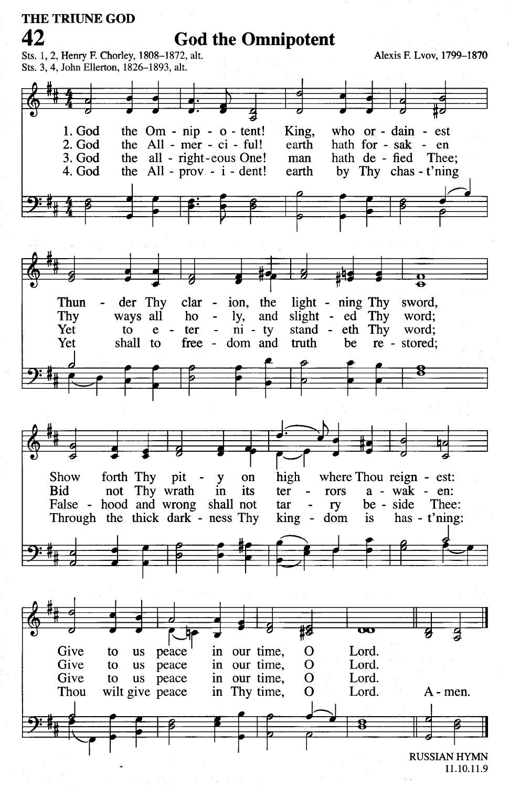

<sup>11.10.11.9</sup>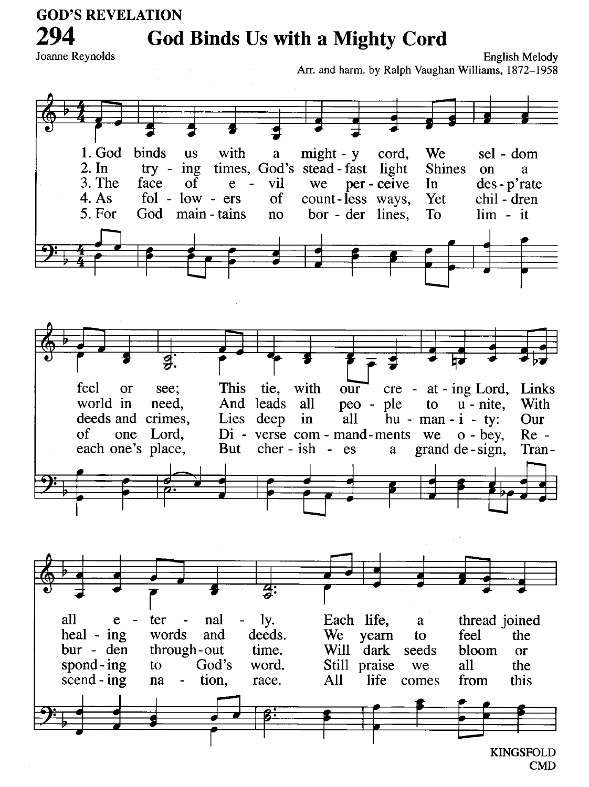**GOD'S REVELATION** 

## **God Binds Us with a Mighty Cord**

Joanne Reynolds

294

**English Melody** Arr. and harm. by Ralph Vaughan Williams, 1872-1958



 $CMD$